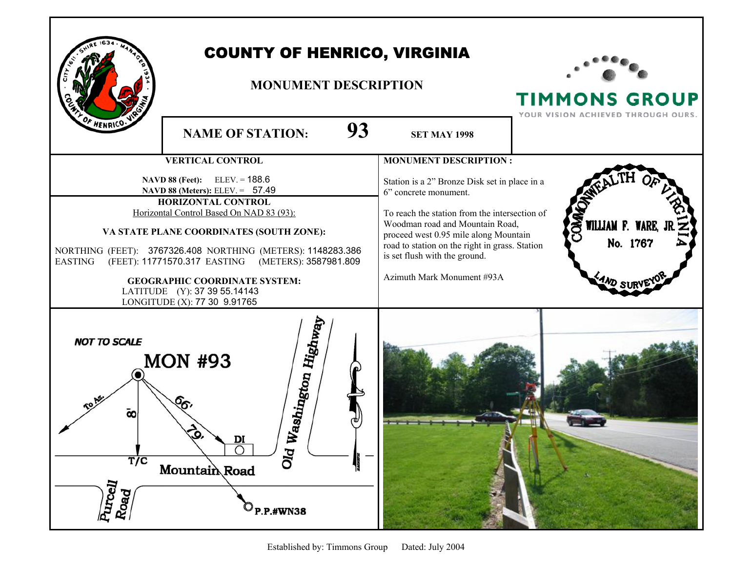

## COUNTY OF HENRICO, VIRGINIA

## **MONUMENT DESCRIPTION**



**TIMMONS GROUP** 

YOUR VISION ACHIEVED THROUGH OURS. **NAME OF STATION: 93 SET MAY 1998 VERTICAL CONTROL MONUMENT DESCRIPTION : NAVD 88 (Feet):** ELEV. = 188.6 Station is a 2" Bronze Disk set in place in a  **NAVD 88 (Meters):** ELEV. = 57.49 6" concrete monument. **HORIZONTAL CONTROL** Horizontal Control Based On NAD 83 (93): To reach the station from the intersection of **WILLIAM F.** Woodman road and Mountain Road, **VA STATE PLANE COORDINATES (SOUTH ZONE):**  proceed west 0.95 mile along Mountain No. 1767 road to station on the right in grass. Station NORTHING (FEET): 3767326.408 NORTHING (METERS): 1148283.386 is set flush with the ground. EASTING (FEET): 11771570.317 EASTING (METERS): 3587981.809 Azimuth Mark Monument #93A **GEOGRAPHIC COORDINATE SYSTEM:**  LATITUDE (Y): 37 39 55.14143 LONGITUDE (X): 77 30 9.91765 Old Washington Highway **NOT TO SCALE MON #93** ō۵ DI **T/C Mountain Road** Purcell<br>b Road P.P.#WN38